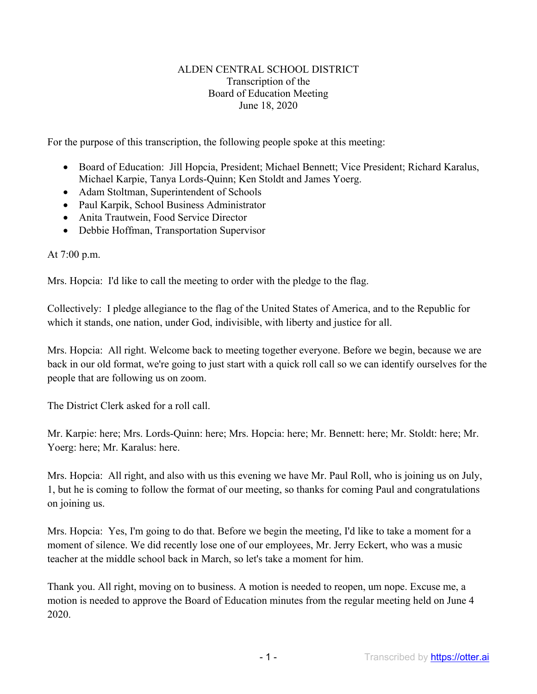## ALDEN CENTRAL SCHOOL DISTRICT Transcription of the Board of Education Meeting June 18, 2020

For the purpose of this transcription, the following people spoke at this meeting:

- Board of Education: Jill Hopcia, President; Michael Bennett; Vice President; Richard Karalus, Michael Karpie, Tanya Lords-Quinn; Ken Stoldt and James Yoerg.
- Adam Stoltman, Superintendent of Schools
- Paul Karpik, School Business Administrator
- Anita Trautwein, Food Service Director
- Debbie Hoffman, Transportation Supervisor

At 7:00 p.m.

Mrs. Hopcia: I'd like to call the meeting to order with the pledge to the flag.

Collectively: I pledge allegiance to the flag of the United States of America, and to the Republic for which it stands, one nation, under God, indivisible, with liberty and justice for all.

Mrs. Hopcia: All right. Welcome back to meeting together everyone. Before we begin, because we are back in our old format, we're going to just start with a quick roll call so we can identify ourselves for the people that are following us on zoom.

The District Clerk asked for a roll call.

Mr. Karpie: here; Mrs. Lords-Quinn: here; Mrs. Hopcia: here; Mr. Bennett: here; Mr. Stoldt: here; Mr. Yoerg: here; Mr. Karalus: here.

Mrs. Hopcia: All right, and also with us this evening we have Mr. Paul Roll, who is joining us on July, 1, but he is coming to follow the format of our meeting, so thanks for coming Paul and congratulations on joining us.

Mrs. Hopcia: Yes, I'm going to do that. Before we begin the meeting, I'd like to take a moment for a moment of silence. We did recently lose one of our employees, Mr. Jerry Eckert, who was a music teacher at the middle school back in March, so let's take a moment for him.

Thank you. All right, moving on to business. A motion is needed to reopen, um nope. Excuse me, a motion is needed to approve the Board of Education minutes from the regular meeting held on June 4 2020.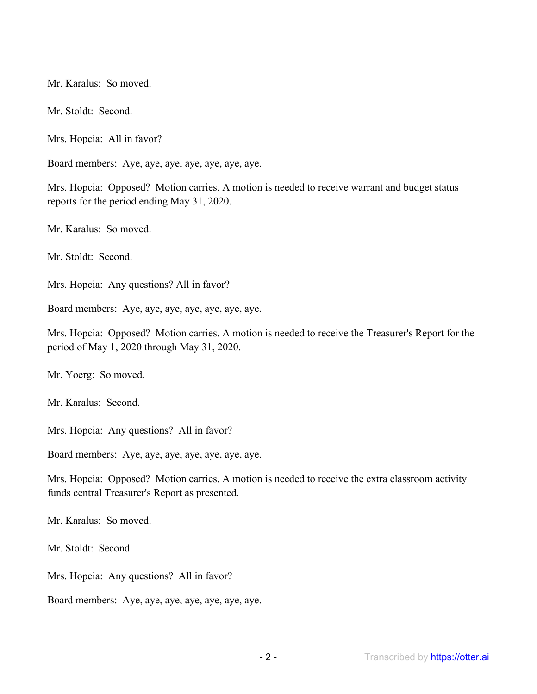Mr. Karalus: So moved.

Mr. Stoldt: Second.

Mrs. Hopcia: All in favor?

Board members: Aye, aye, aye, aye, aye, aye, aye.

Mrs. Hopcia: Opposed? Motion carries. A motion is needed to receive warrant and budget status reports for the period ending May 31, 2020.

Mr. Karalus: So moved.

Mr. Stoldt: Second.

Mrs. Hopcia: Any questions? All in favor?

Board members: Aye, aye, aye, aye, aye, aye, aye.

Mrs. Hopcia: Opposed? Motion carries. A motion is needed to receive the Treasurer's Report for the period of May 1, 2020 through May 31, 2020.

Mr. Yoerg: So moved.

Mr. Karalus: Second.

Mrs. Hopcia: Any questions? All in favor?

Board members: Aye, aye, aye, aye, aye, aye, aye.

Mrs. Hopcia: Opposed? Motion carries. A motion is needed to receive the extra classroom activity funds central Treasurer's Report as presented.

Mr. Karalus: So moved.

Mr. Stoldt: Second.

Mrs. Hopcia: Any questions? All in favor?

Board members: Aye, aye, aye, aye, aye, aye, aye.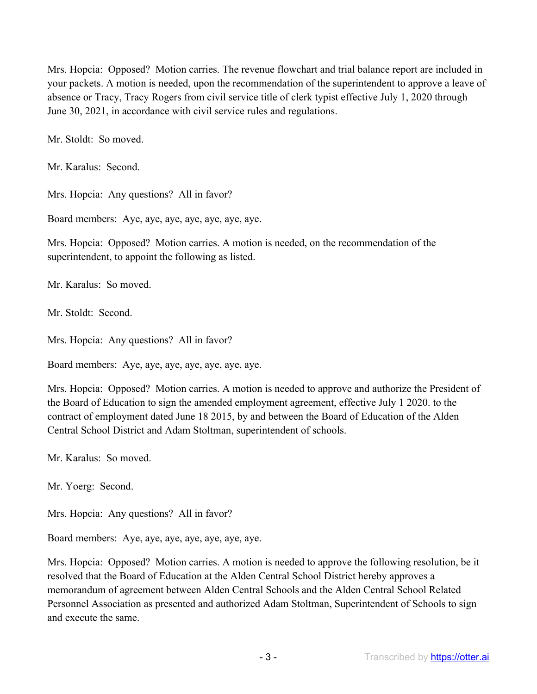Mrs. Hopcia: Opposed? Motion carries. The revenue flowchart and trial balance report are included in your packets. A motion is needed, upon the recommendation of the superintendent to approve a leave of absence or Tracy, Tracy Rogers from civil service title of clerk typist effective July 1, 2020 through June 30, 2021, in accordance with civil service rules and regulations.

Mr. Stoldt: So moved.

Mr. Karalus: Second.

Mrs. Hopcia: Any questions? All in favor?

Board members: Aye, aye, aye, aye, aye, aye, aye.

Mrs. Hopcia: Opposed? Motion carries. A motion is needed, on the recommendation of the superintendent, to appoint the following as listed.

Mr. Karalus: So moved.

Mr. Stoldt: Second.

Mrs. Hopcia: Any questions? All in favor?

Board members: Aye, aye, aye, aye, aye, aye, aye.

Mrs. Hopcia: Opposed? Motion carries. A motion is needed to approve and authorize the President of the Board of Education to sign the amended employment agreement, effective July 1 2020. to the contract of employment dated June 18 2015, by and between the Board of Education of the Alden Central School District and Adam Stoltman, superintendent of schools.

Mr. Karalus: So moved.

Mr. Yoerg: Second.

Mrs. Hopcia: Any questions? All in favor?

Board members: Aye, aye, aye, aye, aye, aye, aye.

Mrs. Hopcia: Opposed? Motion carries. A motion is needed to approve the following resolution, be it resolved that the Board of Education at the Alden Central School District hereby approves a memorandum of agreement between Alden Central Schools and the Alden Central School Related Personnel Association as presented and authorized Adam Stoltman, Superintendent of Schools to sign and execute the same.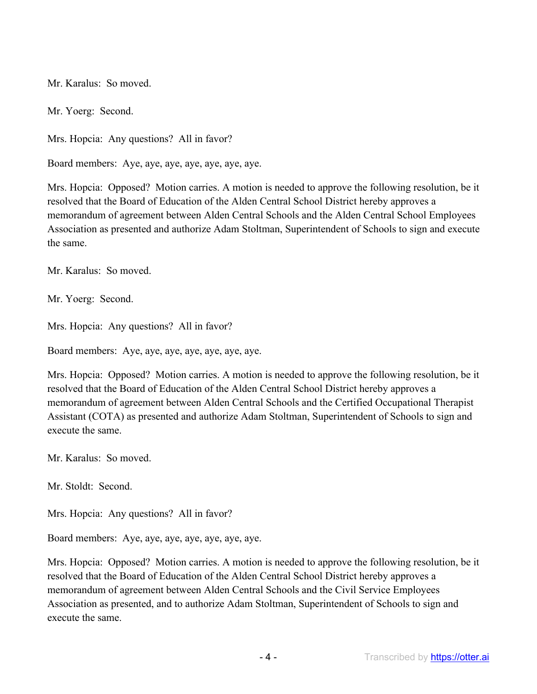Mr. Karalus: So moved.

Mr. Yoerg: Second.

Mrs. Hopcia: Any questions? All in favor?

Board members: Aye, aye, aye, aye, aye, aye, aye.

Mrs. Hopcia: Opposed? Motion carries. A motion is needed to approve the following resolution, be it resolved that the Board of Education of the Alden Central School District hereby approves a memorandum of agreement between Alden Central Schools and the Alden Central School Employees Association as presented and authorize Adam Stoltman, Superintendent of Schools to sign and execute the same.

Mr. Karalus: So moved.

Mr. Yoerg: Second.

Mrs. Hopcia: Any questions? All in favor?

Board members: Aye, aye, aye, aye, aye, aye, aye.

Mrs. Hopcia: Opposed? Motion carries. A motion is needed to approve the following resolution, be it resolved that the Board of Education of the Alden Central School District hereby approves a memorandum of agreement between Alden Central Schools and the Certified Occupational Therapist Assistant (COTA) as presented and authorize Adam Stoltman, Superintendent of Schools to sign and execute the same.

Mr. Karalus: So moved.

Mr. Stoldt: Second.

Mrs. Hopcia: Any questions? All in favor?

Board members: Aye, aye, aye, aye, aye, aye, aye.

Mrs. Hopcia: Opposed? Motion carries. A motion is needed to approve the following resolution, be it resolved that the Board of Education of the Alden Central School District hereby approves a memorandum of agreement between Alden Central Schools and the Civil Service Employees Association as presented, and to authorize Adam Stoltman, Superintendent of Schools to sign and execute the same.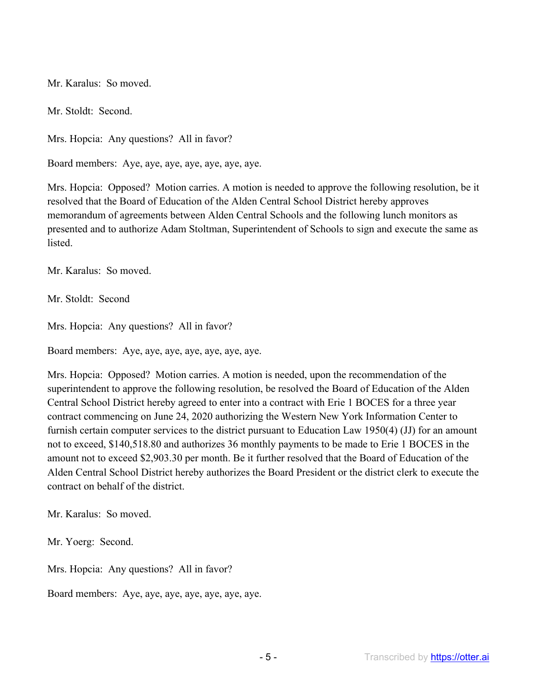Mr. Karalus: So moved.

Mr. Stoldt: Second.

Mrs. Hopcia: Any questions? All in favor?

Board members: Aye, aye, aye, aye, aye, aye, aye.

Mrs. Hopcia: Opposed? Motion carries. A motion is needed to approve the following resolution, be it resolved that the Board of Education of the Alden Central School District hereby approves memorandum of agreements between Alden Central Schools and the following lunch monitors as presented and to authorize Adam Stoltman, Superintendent of Schools to sign and execute the same as listed.

Mr. Karalus: So moved.

Mr. Stoldt: Second

Mrs. Hopcia: Any questions? All in favor?

Board members: Aye, aye, aye, aye, aye, aye, aye.

Mrs. Hopcia: Opposed? Motion carries. A motion is needed, upon the recommendation of the superintendent to approve the following resolution, be resolved the Board of Education of the Alden Central School District hereby agreed to enter into a contract with Erie 1 BOCES for a three year contract commencing on June 24, 2020 authorizing the Western New York Information Center to furnish certain computer services to the district pursuant to Education Law 1950(4) (JJ) for an amount not to exceed, \$140,518.80 and authorizes 36 monthly payments to be made to Erie 1 BOCES in the amount not to exceed \$2,903.30 per month. Be it further resolved that the Board of Education of the Alden Central School District hereby authorizes the Board President or the district clerk to execute the contract on behalf of the district.

Mr. Karalus: So moved.

Mr. Yoerg: Second.

Mrs. Hopcia: Any questions? All in favor?

Board members: Aye, aye, aye, aye, aye, aye, aye.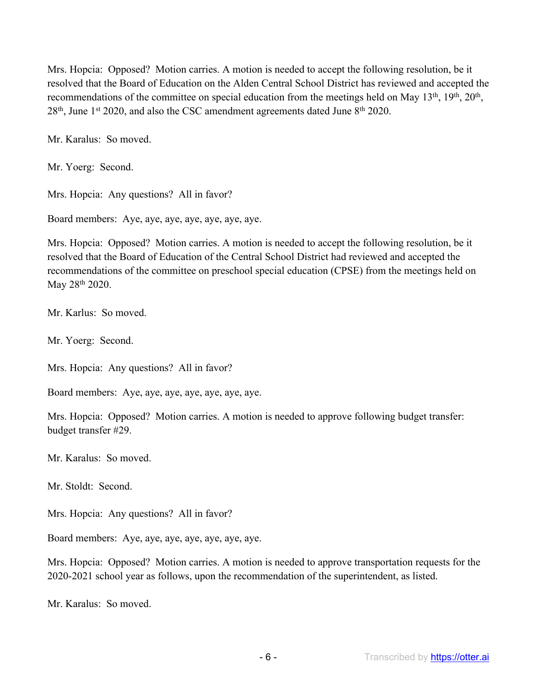Mrs. Hopcia: Opposed? Motion carries. A motion is needed to accept the following resolution, be it resolved that the Board of Education on the Alden Central School District has reviewed and accepted the recommendations of the committee on special education from the meetings held on May 13<sup>th</sup>, 19<sup>th</sup>, 20<sup>th</sup>,  $28<sup>th</sup>$ , June 1<sup>st</sup> 2020, and also the CSC amendment agreements dated June  $8<sup>th</sup>$  2020.

Mr. Karalus: So moved.

Mr. Yoerg: Second.

Mrs. Hopcia: Any questions? All in favor?

Board members: Aye, aye, aye, aye, aye, aye, aye.

Mrs. Hopcia: Opposed? Motion carries. A motion is needed to accept the following resolution, be it resolved that the Board of Education of the Central School District had reviewed and accepted the recommendations of the committee on preschool special education (CPSE) from the meetings held on May 28th 2020.

Mr. Karlus: So moved.

Mr. Yoerg: Second.

Mrs. Hopcia: Any questions? All in favor?

Board members: Aye, aye, aye, aye, aye, aye, aye.

Mrs. Hopcia: Opposed? Motion carries. A motion is needed to approve following budget transfer: budget transfer #29.

Mr. Karalus: So moved.

Mr. Stoldt: Second.

Mrs. Hopcia: Any questions? All in favor?

Board members: Aye, aye, aye, aye, aye, aye, aye.

Mrs. Hopcia: Opposed? Motion carries. A motion is needed to approve transportation requests for the 2020-2021 school year as follows, upon the recommendation of the superintendent, as listed.

Mr. Karalus: So moved.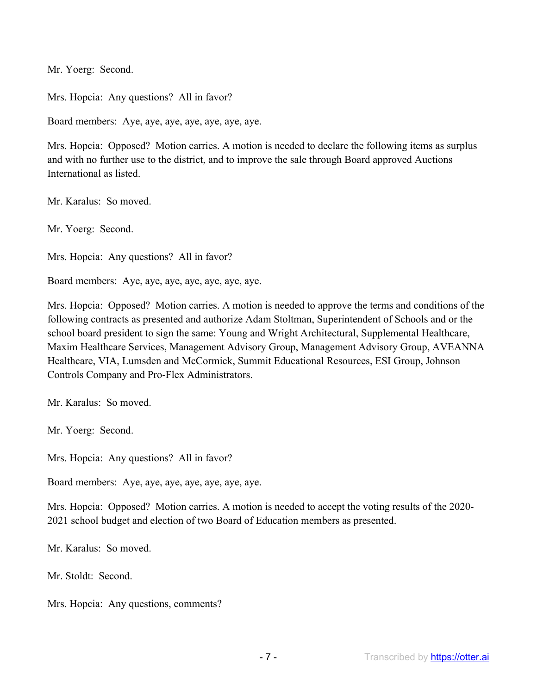Mr. Yoerg: Second.

Mrs. Hopcia: Any questions? All in favor?

Board members: Aye, aye, aye, aye, aye, aye, aye.

Mrs. Hopcia: Opposed? Motion carries. A motion is needed to declare the following items as surplus and with no further use to the district, and to improve the sale through Board approved Auctions International as listed.

Mr. Karalus: So moved.

Mr. Yoerg: Second.

Mrs. Hopcia: Any questions? All in favor?

Board members: Aye, aye, aye, aye, aye, aye, aye.

Mrs. Hopcia: Opposed? Motion carries. A motion is needed to approve the terms and conditions of the following contracts as presented and authorize Adam Stoltman, Superintendent of Schools and or the school board president to sign the same: Young and Wright Architectural, Supplemental Healthcare, Maxim Healthcare Services, Management Advisory Group, Management Advisory Group, AVEANNA Healthcare, VIA, Lumsden and McCormick, Summit Educational Resources, ESI Group, Johnson Controls Company and Pro-Flex Administrators.

Mr. Karalus: So moved.

Mr. Yoerg: Second.

Mrs. Hopcia: Any questions? All in favor?

Board members: Aye, aye, aye, aye, aye, aye, aye.

Mrs. Hopcia: Opposed? Motion carries. A motion is needed to accept the voting results of the 2020- 2021 school budget and election of two Board of Education members as presented.

Mr. Karalus: So moved.

Mr. Stoldt: Second.

Mrs. Hopcia: Any questions, comments?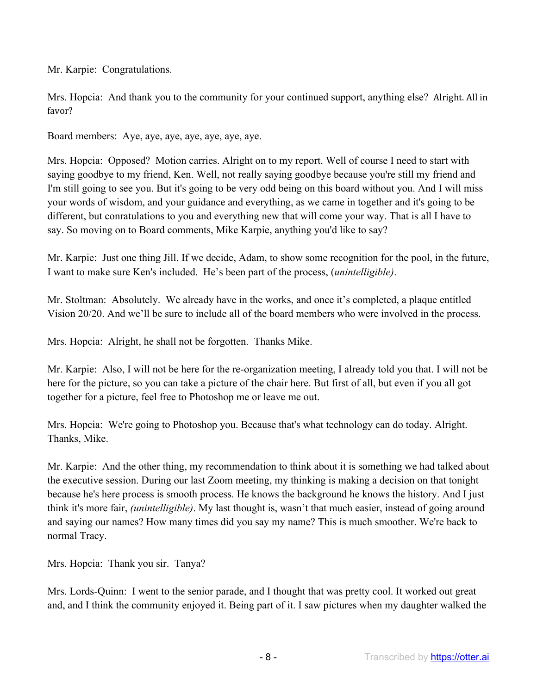Mr. Karpie: Congratulations.

Mrs. Hopcia: And thank you to the community for your continued support, anything else? Alright. All in favor?

Board members: Aye, aye, aye, aye, aye, aye, aye.

Mrs. Hopcia: Opposed? Motion carries. Alright on to my report. Well of course I need to start with saying goodbye to my friend, Ken. Well, not really saying goodbye because you're still my friend and I'm still going to see you. But it's going to be very odd being on this board without you. And I will miss your words of wisdom, and your guidance and everything, as we came in together and it's going to be different, but conratulations to you and everything new that will come your way. That is all I have to say. So moving on to Board comments, Mike Karpie, anything you'd like to say?

Mr. Karpie: Just one thing Jill. If we decide, Adam, to show some recognition for the pool, in the future, I want to make sure Ken's included. He's been part of the process, (*unintelligible)*.

Mr. Stoltman: Absolutely. We already have in the works, and once it's completed, a plaque entitled Vision 20/20. And we'll be sure to include all of the board members who were involved in the process.

Mrs. Hopcia: Alright, he shall not be forgotten. Thanks Mike.

Mr. Karpie: Also, I will not be here for the re-organization meeting, I already told you that. I will not be here for the picture, so you can take a picture of the chair here. But first of all, but even if you all got together for a picture, feel free to Photoshop me or leave me out.

Mrs. Hopcia: We're going to Photoshop you. Because that's what technology can do today. Alright. Thanks, Mike.

Mr. Karpie: And the other thing, my recommendation to think about it is something we had talked about the executive session. During our last Zoom meeting, my thinking is making a decision on that tonight because he's here process is smooth process. He knows the background he knows the history. And I just think it's more fair, *(unintelligible)*. My last thought is, wasn't that much easier, instead of going around and saying our names? How many times did you say my name? This is much smoother. We're back to normal Tracy.

Mrs. Hopcia: Thank you sir. Tanya?

Mrs. Lords-Quinn: I went to the senior parade, and I thought that was pretty cool. It worked out great and, and I think the community enjoyed it. Being part of it. I saw pictures when my daughter walked the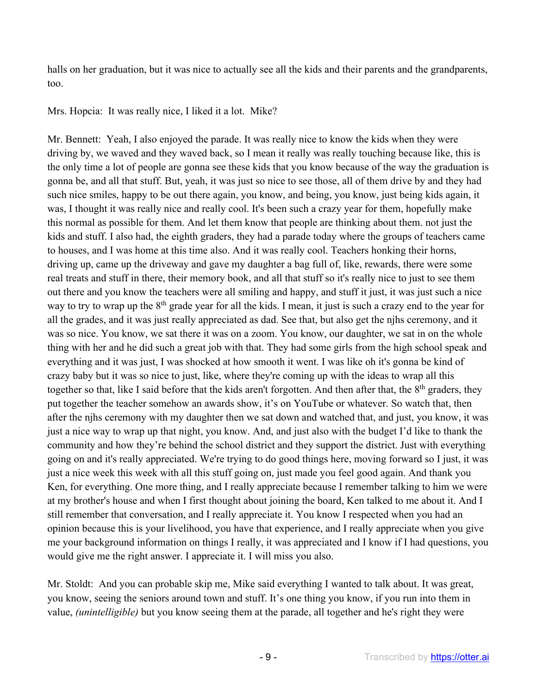halls on her graduation, but it was nice to actually see all the kids and their parents and the grandparents, too.

Mrs. Hopcia: It was really nice, I liked it a lot. Mike?

Mr. Bennett: Yeah, I also enjoyed the parade. It was really nice to know the kids when they were driving by, we waved and they waved back, so I mean it really was really touching because like, this is the only time a lot of people are gonna see these kids that you know because of the way the graduation is gonna be, and all that stuff. But, yeah, it was just so nice to see those, all of them drive by and they had such nice smiles, happy to be out there again, you know, and being, you know, just being kids again, it was, I thought it was really nice and really cool. It's been such a crazy year for them, hopefully make this normal as possible for them. And let them know that people are thinking about them. not just the kids and stuff. I also had, the eighth graders, they had a parade today where the groups of teachers came to houses, and I was home at this time also. And it was really cool. Teachers honking their horns, driving up, came up the driveway and gave my daughter a bag full of, like, rewards, there were some real treats and stuff in there, their memory book, and all that stuff so it's really nice to just to see them out there and you know the teachers were all smiling and happy, and stuff it just, it was just such a nice way to try to wrap up the 8th grade year for all the kids. I mean, it just is such a crazy end to the year for all the grades, and it was just really appreciated as dad. See that, but also get the njhs ceremony, and it was so nice. You know, we sat there it was on a zoom. You know, our daughter, we sat in on the whole thing with her and he did such a great job with that. They had some girls from the high school speak and everything and it was just, I was shocked at how smooth it went. I was like oh it's gonna be kind of crazy baby but it was so nice to just, like, where they're coming up with the ideas to wrap all this together so that, like I said before that the kids aren't forgotten. And then after that, the 8<sup>th</sup> graders, they put together the teacher somehow an awards show, it's on YouTube or whatever. So watch that, then after the njhs ceremony with my daughter then we sat down and watched that, and just, you know, it was just a nice way to wrap up that night, you know. And, and just also with the budget I'd like to thank the community and how they're behind the school district and they support the district. Just with everything going on and it's really appreciated. We're trying to do good things here, moving forward so I just, it was just a nice week this week with all this stuff going on, just made you feel good again. And thank you Ken, for everything. One more thing, and I really appreciate because I remember talking to him we were at my brother's house and when I first thought about joining the board, Ken talked to me about it. And I still remember that conversation, and I really appreciate it. You know I respected when you had an opinion because this is your livelihood, you have that experience, and I really appreciate when you give me your background information on things I really, it was appreciated and I know if I had questions, you would give me the right answer. I appreciate it. I will miss you also.

Mr. Stoldt: And you can probable skip me, Mike said everything I wanted to talk about. It was great, you know, seeing the seniors around town and stuff. It's one thing you know, if you run into them in value, *(unintelligible)* but you know seeing them at the parade, all together and he's right they were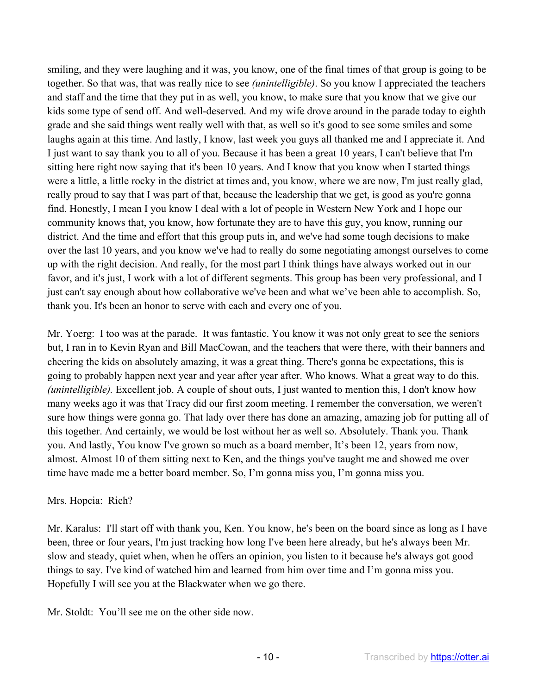smiling, and they were laughing and it was, you know, one of the final times of that group is going to be together. So that was, that was really nice to see *(unintelligible)*. So you know I appreciated the teachers and staff and the time that they put in as well, you know, to make sure that you know that we give our kids some type of send off. And well-deserved. And my wife drove around in the parade today to eighth grade and she said things went really well with that, as well so it's good to see some smiles and some laughs again at this time. And lastly, I know, last week you guys all thanked me and I appreciate it. And I just want to say thank you to all of you. Because it has been a great 10 years, I can't believe that I'm sitting here right now saying that it's been 10 years. And I know that you know when I started things were a little, a little rocky in the district at times and, you know, where we are now, I'm just really glad, really proud to say that I was part of that, because the leadership that we get, is good as you're gonna find. Honestly, I mean I you know I deal with a lot of people in Western New York and I hope our community knows that, you know, how fortunate they are to have this guy, you know, running our district. And the time and effort that this group puts in, and we've had some tough decisions to make over the last 10 years, and you know we've had to really do some negotiating amongst ourselves to come up with the right decision. And really, for the most part I think things have always worked out in our favor, and it's just, I work with a lot of different segments. This group has been very professional, and I just can't say enough about how collaborative we've been and what we've been able to accomplish. So, thank you. It's been an honor to serve with each and every one of you.

Mr. Yoerg: I too was at the parade. It was fantastic. You know it was not only great to see the seniors but, I ran in to Kevin Ryan and Bill MacCowan, and the teachers that were there, with their banners and cheering the kids on absolutely amazing, it was a great thing. There's gonna be expectations, this is going to probably happen next year and year after year after. Who knows. What a great way to do this. *(unintelligible).* Excellent job. A couple of shout outs, I just wanted to mention this, I don't know how many weeks ago it was that Tracy did our first zoom meeting. I remember the conversation, we weren't sure how things were gonna go. That lady over there has done an amazing, amazing job for putting all of this together. And certainly, we would be lost without her as well so. Absolutely. Thank you. Thank you. And lastly, You know I've grown so much as a board member, It's been 12, years from now, almost. Almost 10 of them sitting next to Ken, and the things you've taught me and showed me over time have made me a better board member. So, I'm gonna miss you, I'm gonna miss you.

## Mrs. Hopcia: Rich?

Mr. Karalus: I'll start off with thank you, Ken. You know, he's been on the board since as long as I have been, three or four years, I'm just tracking how long I've been here already, but he's always been Mr. slow and steady, quiet when, when he offers an opinion, you listen to it because he's always got good things to say. I've kind of watched him and learned from him over time and I'm gonna miss you. Hopefully I will see you at the Blackwater when we go there.

Mr. Stoldt: You'll see me on the other side now.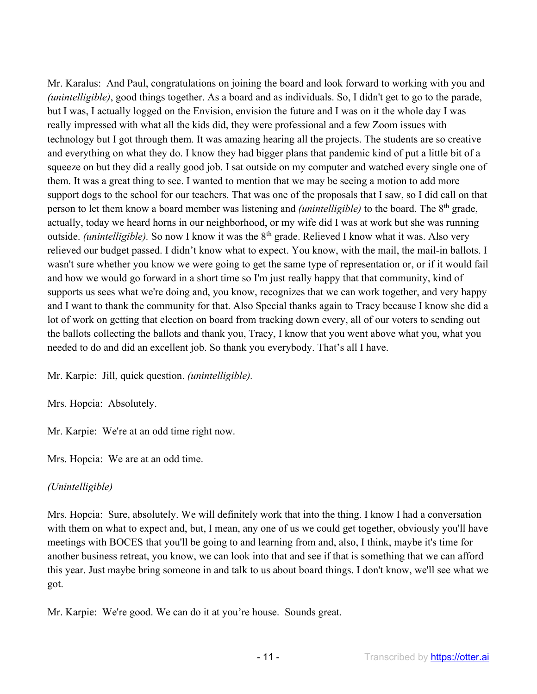Mr. Karalus: And Paul, congratulations on joining the board and look forward to working with you and *(unintelligible)*, good things together. As a board and as individuals. So, I didn't get to go to the parade, but I was, I actually logged on the Envision, envision the future and I was on it the whole day I was really impressed with what all the kids did, they were professional and a few Zoom issues with technology but I got through them. It was amazing hearing all the projects. The students are so creative and everything on what they do. I know they had bigger plans that pandemic kind of put a little bit of a squeeze on but they did a really good job. I sat outside on my computer and watched every single one of them. It was a great thing to see. I wanted to mention that we may be seeing a motion to add more support dogs to the school for our teachers. That was one of the proposals that I saw, so I did call on that person to let them know a board member was listening and *(unintelligible)* to the board. The 8th grade, actually, today we heard horns in our neighborhood, or my wife did I was at work but she was running outside. *(unintelligible)*. So now I know it was the 8<sup>th</sup> grade. Relieved I know what it was. Also very relieved our budget passed. I didn't know what to expect. You know, with the mail, the mail-in ballots. I wasn't sure whether you know we were going to get the same type of representation or, or if it would fail and how we would go forward in a short time so I'm just really happy that that community, kind of supports us sees what we're doing and, you know, recognizes that we can work together, and very happy and I want to thank the community for that. Also Special thanks again to Tracy because I know she did a lot of work on getting that election on board from tracking down every, all of our voters to sending out the ballots collecting the ballots and thank you, Tracy, I know that you went above what you, what you needed to do and did an excellent job. So thank you everybody. That's all I have.

Mr. Karpie: Jill, quick question. *(unintelligible).*

Mrs. Hopcia: Absolutely.

Mr. Karpie: We're at an odd time right now.

Mrs. Hopcia: We are at an odd time.

## *(Unintelligible)*

Mrs. Hopcia: Sure, absolutely. We will definitely work that into the thing. I know I had a conversation with them on what to expect and, but, I mean, any one of us we could get together, obviously you'll have meetings with BOCES that you'll be going to and learning from and, also, I think, maybe it's time for another business retreat, you know, we can look into that and see if that is something that we can afford this year. Just maybe bring someone in and talk to us about board things. I don't know, we'll see what we got.

Mr. Karpie: We're good. We can do it at you're house. Sounds great.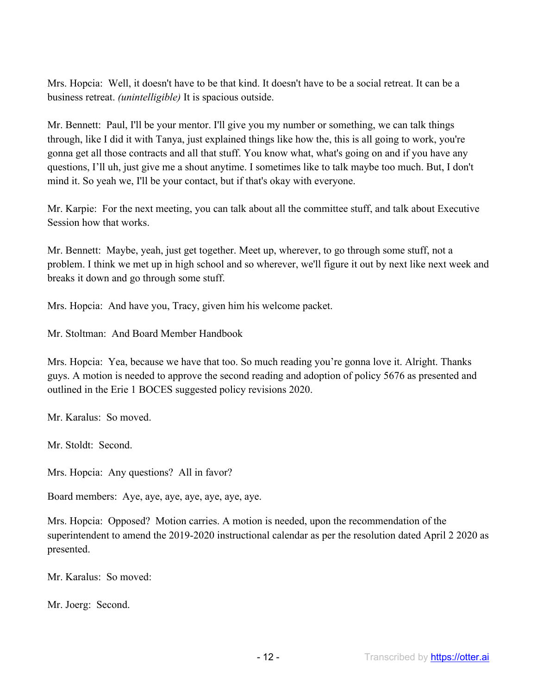Mrs. Hopcia: Well, it doesn't have to be that kind. It doesn't have to be a social retreat. It can be a business retreat. *(unintelligible)* It is spacious outside.

Mr. Bennett: Paul, I'll be your mentor. I'll give you my number or something, we can talk things through, like I did it with Tanya, just explained things like how the, this is all going to work, you're gonna get all those contracts and all that stuff. You know what, what's going on and if you have any questions, I'll uh, just give me a shout anytime. I sometimes like to talk maybe too much. But, I don't mind it. So yeah we, I'll be your contact, but if that's okay with everyone.

Mr. Karpie: For the next meeting, you can talk about all the committee stuff, and talk about Executive Session how that works.

Mr. Bennett: Maybe, yeah, just get together. Meet up, wherever, to go through some stuff, not a problem. I think we met up in high school and so wherever, we'll figure it out by next like next week and breaks it down and go through some stuff.

Mrs. Hopcia: And have you, Tracy, given him his welcome packet.

Mr. Stoltman: And Board Member Handbook

Mrs. Hopcia: Yea, because we have that too. So much reading you're gonna love it. Alright. Thanks guys. A motion is needed to approve the second reading and adoption of policy 5676 as presented and outlined in the Erie 1 BOCES suggested policy revisions 2020.

Mr. Karalus: So moved.

Mr. Stoldt: Second.

Mrs. Hopcia: Any questions? All in favor?

Board members: Aye, aye, aye, aye, aye, aye, aye.

Mrs. Hopcia: Opposed? Motion carries. A motion is needed, upon the recommendation of the superintendent to amend the 2019-2020 instructional calendar as per the resolution dated April 2 2020 as presented.

Mr. Karalus: So moved:

Mr. Joerg: Second.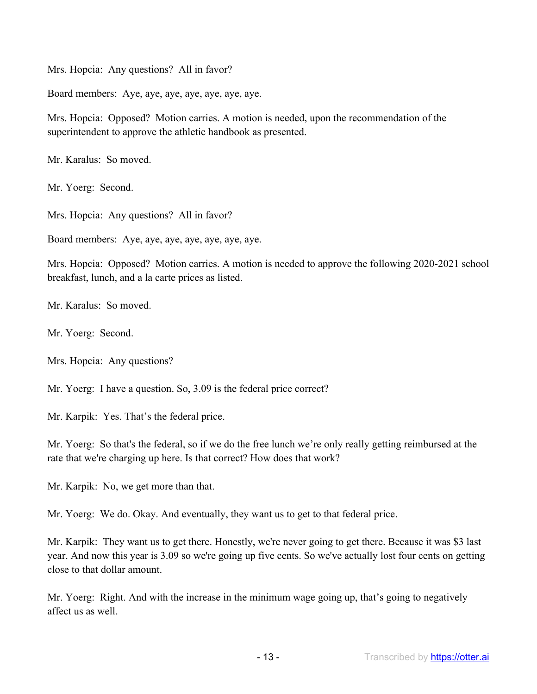Mrs. Hopcia: Any questions? All in favor?

Board members: Aye, aye, aye, aye, aye, aye, aye.

Mrs. Hopcia: Opposed? Motion carries. A motion is needed, upon the recommendation of the superintendent to approve the athletic handbook as presented.

Mr. Karalus: So moved.

Mr. Yoerg: Second.

Mrs. Hopcia: Any questions? All in favor?

Board members: Aye, aye, aye, aye, aye, aye, aye.

Mrs. Hopcia: Opposed? Motion carries. A motion is needed to approve the following 2020-2021 school breakfast, lunch, and a la carte prices as listed.

Mr. Karalus: So moved.

Mr. Yoerg: Second.

Mrs. Hopcia: Any questions?

Mr. Yoerg: I have a question. So, 3.09 is the federal price correct?

Mr. Karpik: Yes. That's the federal price.

Mr. Yoerg: So that's the federal, so if we do the free lunch we're only really getting reimbursed at the rate that we're charging up here. Is that correct? How does that work?

Mr. Karpik: No, we get more than that.

Mr. Yoerg: We do. Okay. And eventually, they want us to get to that federal price.

Mr. Karpik: They want us to get there. Honestly, we're never going to get there. Because it was \$3 last year. And now this year is 3.09 so we're going up five cents. So we've actually lost four cents on getting close to that dollar amount.

Mr. Yoerg: Right. And with the increase in the minimum wage going up, that's going to negatively affect us as well.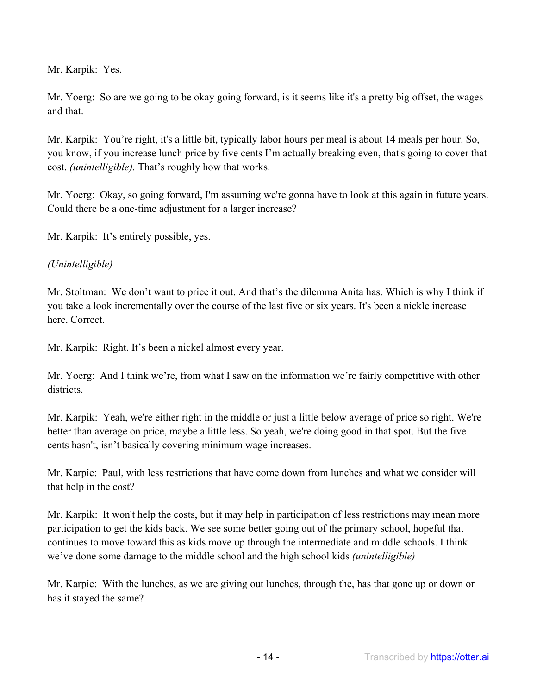Mr. Karpik: Yes.

Mr. Yoerg: So are we going to be okay going forward, is it seems like it's a pretty big offset, the wages and that.

Mr. Karpik: You're right, it's a little bit, typically labor hours per meal is about 14 meals per hour. So, you know, if you increase lunch price by five cents I'm actually breaking even, that's going to cover that cost. *(unintelligible).* That's roughly how that works.

Mr. Yoerg: Okay, so going forward, I'm assuming we're gonna have to look at this again in future years. Could there be a one-time adjustment for a larger increase?

Mr. Karpik: It's entirely possible, yes.

## *(Unintelligible)*

Mr. Stoltman: We don't want to price it out. And that's the dilemma Anita has. Which is why I think if you take a look incrementally over the course of the last five or six years. It's been a nickle increase here. Correct.

Mr. Karpik: Right. It's been a nickel almost every year.

Mr. Yoerg: And I think we're, from what I saw on the information we're fairly competitive with other districts.

Mr. Karpik: Yeah, we're either right in the middle or just a little below average of price so right. We're better than average on price, maybe a little less. So yeah, we're doing good in that spot. But the five cents hasn't, isn't basically covering minimum wage increases.

Mr. Karpie: Paul, with less restrictions that have come down from lunches and what we consider will that help in the cost?

Mr. Karpik: It won't help the costs, but it may help in participation of less restrictions may mean more participation to get the kids back. We see some better going out of the primary school, hopeful that continues to move toward this as kids move up through the intermediate and middle schools. I think we've done some damage to the middle school and the high school kids *(unintelligible)*

Mr. Karpie: With the lunches, as we are giving out lunches, through the, has that gone up or down or has it stayed the same?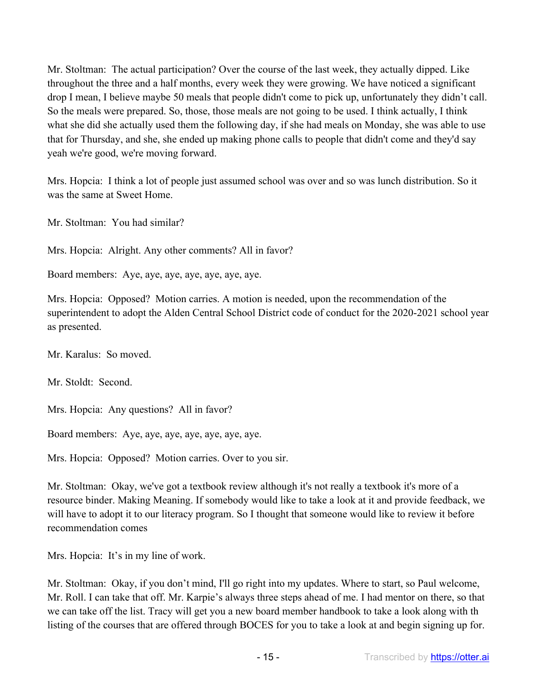Mr. Stoltman: The actual participation? Over the course of the last week, they actually dipped. Like throughout the three and a half months, every week they were growing. We have noticed a significant drop I mean, I believe maybe 50 meals that people didn't come to pick up, unfortunately they didn't call. So the meals were prepared. So, those, those meals are not going to be used. I think actually, I think what she did she actually used them the following day, if she had meals on Monday, she was able to use that for Thursday, and she, she ended up making phone calls to people that didn't come and they'd say yeah we're good, we're moving forward.

Mrs. Hopcia: I think a lot of people just assumed school was over and so was lunch distribution. So it was the same at Sweet Home.

Mr. Stoltman: You had similar?

Mrs. Hopcia: Alright. Any other comments? All in favor?

Board members: Aye, aye, aye, aye, aye, aye, aye.

Mrs. Hopcia: Opposed? Motion carries. A motion is needed, upon the recommendation of the superintendent to adopt the Alden Central School District code of conduct for the 2020-2021 school year as presented.

Mr. Karalus: So moved.

Mr. Stoldt: Second.

Mrs. Hopcia: Any questions? All in favor?

Board members: Aye, aye, aye, aye, aye, aye, aye.

Mrs. Hopcia: Opposed? Motion carries. Over to you sir.

Mr. Stoltman: Okay, we've got a textbook review although it's not really a textbook it's more of a resource binder. Making Meaning. If somebody would like to take a look at it and provide feedback, we will have to adopt it to our literacy program. So I thought that someone would like to review it before recommendation comes

Mrs. Hopcia: It's in my line of work.

Mr. Stoltman: Okay, if you don't mind, I'll go right into my updates. Where to start, so Paul welcome, Mr. Roll. I can take that off. Mr. Karpie's always three steps ahead of me. I had mentor on there, so that we can take off the list. Tracy will get you a new board member handbook to take a look along with th listing of the courses that are offered through BOCES for you to take a look at and begin signing up for.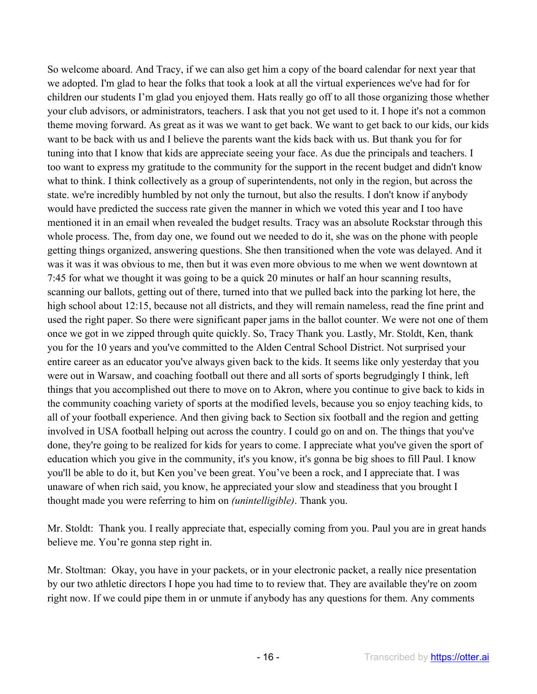So welcome aboard. And Tracy, if we can also get him a copy of the board calendar for next year that we adopted. I'm glad to hear the folks that took a look at all the virtual experiences we've had for for children our students I'm glad you enjoyed them. Hats really go off to all those organizing those whether your club advisors, or administrators, teachers. I ask that you not get used to it. I hope it's not a common theme moving forward. As great as it was we want to get back. We want to get back to our kids, our kids want to be back with us and I believe the parents want the kids back with us. But thank you for for tuning into that I know that kids are appreciate seeing your face. As due the principals and teachers. I too want to express my gratitude to the community for the support in the recent budget and didn't know what to think. I think collectively as a group of superintendents, not only in the region, but across the state. we're incredibly humbled by not only the turnout, but also the results. I don't know if anybody would have predicted the success rate given the manner in which we voted this year and I too have mentioned it in an email when revealed the budget results. Tracy was an absolute Rockstar through this whole process. The, from day one, we found out we needed to do it, she was on the phone with people getting things organized, answering questions. She then transitioned when the vote was delayed. And it was it was it was obvious to me, then but it was even more obvious to me when we went downtown at 7:45 for what we thought it was going to be a quick 20 minutes or half an hour scanning results, scanning our ballots, getting out of there, turned into that we pulled back into the parking lot here, the high school about 12:15, because not all districts, and they will remain nameless, read the fine print and used the right paper. So there were significant paper jams in the ballot counter. We were not one of them once we got in we zipped through quite quickly. So, Tracy Thank you. Lastly, Mr. Stoldt, Ken, thank you for the 10 years and you've committed to the Alden Central School District. Not surprised your entire career as an educator you've always given back to the kids. It seems like only yesterday that you were out in Warsaw, and coaching football out there and all sorts of sports begrudgingly I think, left things that you accomplished out there to move on to Akron, where you continue to give back to kids in the community coaching variety of sports at the modified levels, because you so enjoy teaching kids, to all of your football experience. And then giving back to Section six football and the region and getting involved in USA football helping out across the country. I could go on and on. The things that you've done, they're going to be realized for kids for years to come. I appreciate what you've given the sport of education which you give in the community, it's you know, it's gonna be big shoes to fill Paul. I know you'll be able to do it, but Ken you've been great. You've been a rock, and I appreciate that. I was unaware of when rich said, you know, he appreciated your slow and steadiness that you brought I thought made you were referring to him on *(unintelligible)*. Thank you.

Mr. Stoldt: Thank you. I really appreciate that, especially coming from you. Paul you are in great hands believe me. You're gonna step right in.

Mr. Stoltman: Okay, you have in your packets, or in your electronic packet, a really nice presentation by our two athletic directors I hope you had time to to review that. They are available they're on zoom right now. If we could pipe them in or unmute if anybody has any questions for them. Any comments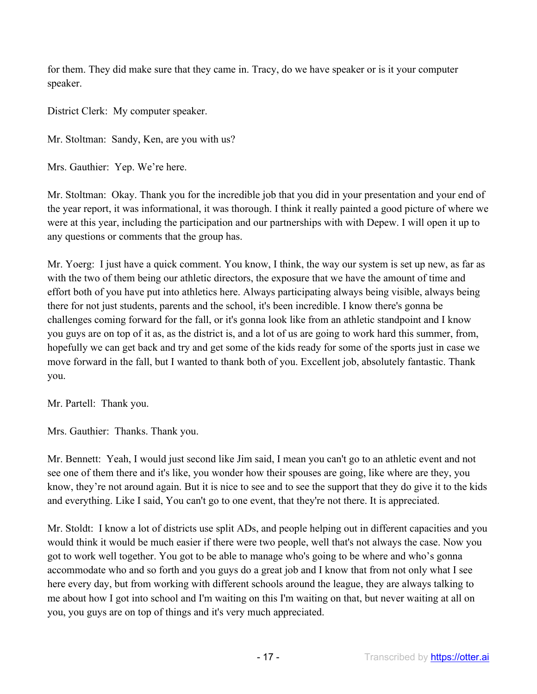for them. They did make sure that they came in. Tracy, do we have speaker or is it your computer speaker.

District Clerk: My computer speaker.

Mr. Stoltman: Sandy, Ken, are you with us?

Mrs. Gauthier: Yep. We're here.

Mr. Stoltman: Okay. Thank you for the incredible job that you did in your presentation and your end of the year report, it was informational, it was thorough. I think it really painted a good picture of where we were at this year, including the participation and our partnerships with with Depew. I will open it up to any questions or comments that the group has.

Mr. Yoerg: I just have a quick comment. You know, I think, the way our system is set up new, as far as with the two of them being our athletic directors, the exposure that we have the amount of time and effort both of you have put into athletics here. Always participating always being visible, always being there for not just students, parents and the school, it's been incredible. I know there's gonna be challenges coming forward for the fall, or it's gonna look like from an athletic standpoint and I know you guys are on top of it as, as the district is, and a lot of us are going to work hard this summer, from, hopefully we can get back and try and get some of the kids ready for some of the sports just in case we move forward in the fall, but I wanted to thank both of you. Excellent job, absolutely fantastic. Thank you.

Mr. Partell: Thank you.

Mrs. Gauthier: Thanks. Thank you.

Mr. Bennett: Yeah, I would just second like Jim said, I mean you can't go to an athletic event and not see one of them there and it's like, you wonder how their spouses are going, like where are they, you know, they're not around again. But it is nice to see and to see the support that they do give it to the kids and everything. Like I said, You can't go to one event, that they're not there. It is appreciated.

Mr. Stoldt: I know a lot of districts use split ADs, and people helping out in different capacities and you would think it would be much easier if there were two people, well that's not always the case. Now you got to work well together. You got to be able to manage who's going to be where and who's gonna accommodate who and so forth and you guys do a great job and I know that from not only what I see here every day, but from working with different schools around the league, they are always talking to me about how I got into school and I'm waiting on this I'm waiting on that, but never waiting at all on you, you guys are on top of things and it's very much appreciated.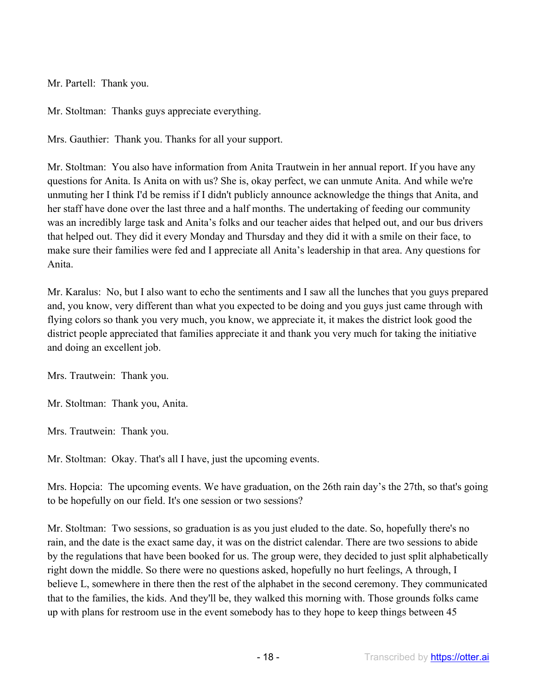Mr. Partell: Thank you.

Mr. Stoltman: Thanks guys appreciate everything.

Mrs. Gauthier: Thank you. Thanks for all your support.

Mr. Stoltman: You also have information from Anita Trautwein in her annual report. If you have any questions for Anita. Is Anita on with us? She is, okay perfect, we can unmute Anita. And while we're unmuting her I think I'd be remiss if I didn't publicly announce acknowledge the things that Anita, and her staff have done over the last three and a half months. The undertaking of feeding our community was an incredibly large task and Anita's folks and our teacher aides that helped out, and our bus drivers that helped out. They did it every Monday and Thursday and they did it with a smile on their face, to make sure their families were fed and I appreciate all Anita's leadership in that area. Any questions for Anita.

Mr. Karalus: No, but I also want to echo the sentiments and I saw all the lunches that you guys prepared and, you know, very different than what you expected to be doing and you guys just came through with flying colors so thank you very much, you know, we appreciate it, it makes the district look good the district people appreciated that families appreciate it and thank you very much for taking the initiative and doing an excellent job.

Mrs. Trautwein: Thank you.

Mr. Stoltman: Thank you, Anita.

Mrs. Trautwein: Thank you.

Mr. Stoltman: Okay. That's all I have, just the upcoming events.

Mrs. Hopcia: The upcoming events. We have graduation, on the 26th rain day's the 27th, so that's going to be hopefully on our field. It's one session or two sessions?

Mr. Stoltman: Two sessions, so graduation is as you just eluded to the date. So, hopefully there's no rain, and the date is the exact same day, it was on the district calendar. There are two sessions to abide by the regulations that have been booked for us. The group were, they decided to just split alphabetically right down the middle. So there were no questions asked, hopefully no hurt feelings, A through, I believe L, somewhere in there then the rest of the alphabet in the second ceremony. They communicated that to the families, the kids. And they'll be, they walked this morning with. Those grounds folks came up with plans for restroom use in the event somebody has to they hope to keep things between 45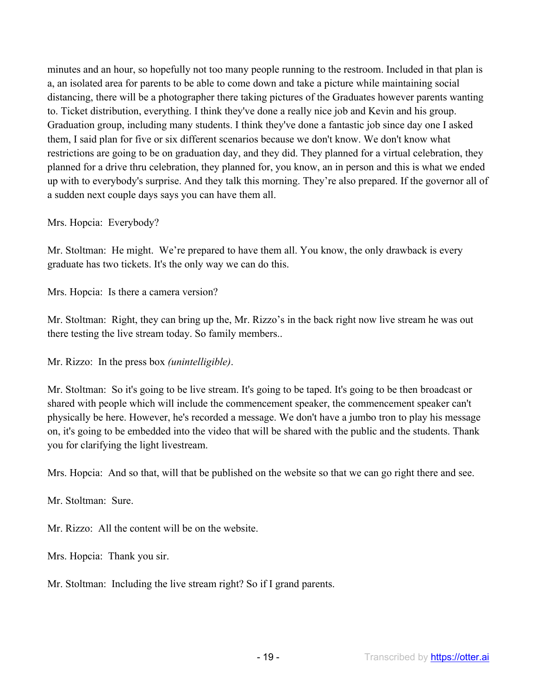minutes and an hour, so hopefully not too many people running to the restroom. Included in that plan is a, an isolated area for parents to be able to come down and take a picture while maintaining social distancing, there will be a photographer there taking pictures of the Graduates however parents wanting to. Ticket distribution, everything. I think they've done a really nice job and Kevin and his group. Graduation group, including many students. I think they've done a fantastic job since day one I asked them, I said plan for five or six different scenarios because we don't know. We don't know what restrictions are going to be on graduation day, and they did. They planned for a virtual celebration, they planned for a drive thru celebration, they planned for, you know, an in person and this is what we ended up with to everybody's surprise. And they talk this morning. They're also prepared. If the governor all of a sudden next couple days says you can have them all.

Mrs. Hopcia: Everybody?

Mr. Stoltman: He might. We're prepared to have them all. You know, the only drawback is every graduate has two tickets. It's the only way we can do this.

Mrs. Hopcia: Is there a camera version?

Mr. Stoltman: Right, they can bring up the, Mr. Rizzo's in the back right now live stream he was out there testing the live stream today. So family members..

Mr. Rizzo: In the press box *(unintelligible)*.

Mr. Stoltman: So it's going to be live stream. It's going to be taped. It's going to be then broadcast or shared with people which will include the commencement speaker, the commencement speaker can't physically be here. However, he's recorded a message. We don't have a jumbo tron to play his message on, it's going to be embedded into the video that will be shared with the public and the students. Thank you for clarifying the light livestream.

Mrs. Hopcia: And so that, will that be published on the website so that we can go right there and see.

Mr. Stoltman: Sure.

Mr. Rizzo: All the content will be on the website.

Mrs. Hopcia: Thank you sir.

Mr. Stoltman: Including the live stream right? So if I grand parents.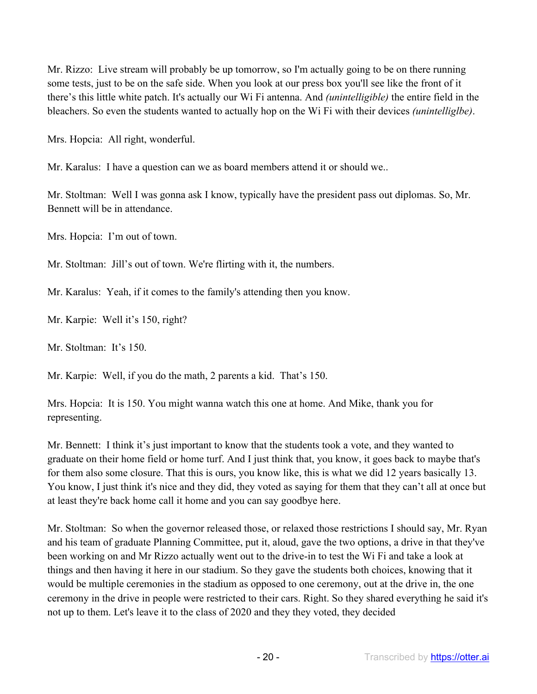Mr. Rizzo: Live stream will probably be up tomorrow, so I'm actually going to be on there running some tests, just to be on the safe side. When you look at our press box you'll see like the front of it there's this little white patch. It's actually our Wi Fi antenna. And *(unintelligible)* the entire field in the bleachers. So even the students wanted to actually hop on the Wi Fi with their devices *(unintelliglbe)*.

Mrs. Hopcia: All right, wonderful.

Mr. Karalus: I have a question can we as board members attend it or should we..

Mr. Stoltman: Well I was gonna ask I know, typically have the president pass out diplomas. So, Mr. Bennett will be in attendance.

Mrs. Hopcia: I'm out of town.

Mr. Stoltman: Jill's out of town. We're flirting with it, the numbers.

Mr. Karalus: Yeah, if it comes to the family's attending then you know.

Mr. Karpie: Well it's 150, right?

Mr. Stoltman: It's 150.

Mr. Karpie: Well, if you do the math, 2 parents a kid. That's 150.

Mrs. Hopcia: It is 150. You might wanna watch this one at home. And Mike, thank you for representing.

Mr. Bennett: I think it's just important to know that the students took a vote, and they wanted to graduate on their home field or home turf. And I just think that, you know, it goes back to maybe that's for them also some closure. That this is ours, you know like, this is what we did 12 years basically 13. You know, I just think it's nice and they did, they voted as saying for them that they can't all at once but at least they're back home call it home and you can say goodbye here.

Mr. Stoltman: So when the governor released those, or relaxed those restrictions I should say, Mr. Ryan and his team of graduate Planning Committee, put it, aloud, gave the two options, a drive in that they've been working on and Mr Rizzo actually went out to the drive-in to test the Wi Fi and take a look at things and then having it here in our stadium. So they gave the students both choices, knowing that it would be multiple ceremonies in the stadium as opposed to one ceremony, out at the drive in, the one ceremony in the drive in people were restricted to their cars. Right. So they shared everything he said it's not up to them. Let's leave it to the class of 2020 and they they voted, they decided